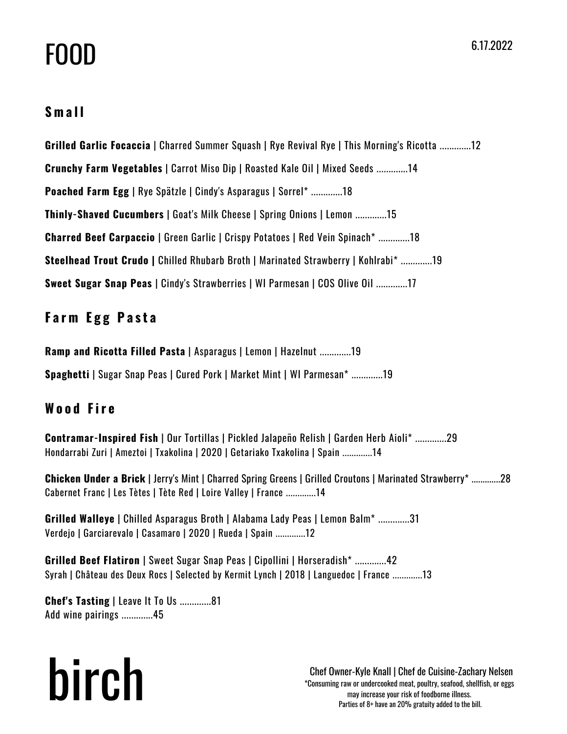# FOOD

### **S m a l l**

**Grilled Garlic Focaccia** | Charred Summer Squash | Rye Revival Rye | This Morning's Ricotta .............12 **Crunchy Farm Vegetables** | Carrot Miso Dip | Roasted Kale Oil | Mixed Seeds .............14 **Poached Farm Egg** | Rye Spätzle | Cindy's Asparagus | Sorrel\* .............18 **Thinly-Shaved Cucumbers** | Goat's Milk Cheese | Spring Onions | Lemon .............15 **Charred Beef Carpaccio** | Green Garlic | Crispy Potatoes | Red Vein Spinach\* .............18 **Steelhead Trout Crudo |** Chilled Rhubarb Broth | Marinated Strawberry | Kohlrabi\* .............19 **Sweet Sugar Snap Peas** | Cindy's Strawberries | WI Parmesan | COS Olive Oil .............17

## **F a r m E g g P a s t a**

**Ramp and Ricotta Filled Pasta** | Asparagus | Lemon | Hazelnut .............19 **Spaghetti** | Sugar Snap Peas | Cured Pork | Market Mint | WI Parmesan\* .............19

## **W o o d F ir e**

**Contramar-Inspired Fish** | Our Tortillas | Pickled Jalapeño Relish | Garden Herb Aioli\* .............29 Hondarrabi Zuri | Ameztoi | Txakolina | 2020 | Getariako Txakolina | Spain .............14

**Chicken Under a Brick** | Jerry's Mint | Charred Spring Greens | Grilled Croutons | Marinated Strawberry\* .............28 Cabernet Franc | Les Tètes | Tète Red | Loire Valley | France .............14

**Grilled Walleye** | Chilled Asparagus Broth | Alabama Lady Peas | Lemon Balm\* .............31 Verdejo | Garciarevalo | Casamaro | 2020 | Rueda | Spain .............12

**Grilled Beef Flatiron** | Sweet Sugar Snap Peas | Cipollini | Horseradish\* .............42 Syrah | Château des Deux Rocs | Selected by Kermit Lynch | 2018 | Languedoc | France .............13

**Chef's Tasting** | Leave It To Us .............81 Add wine pairings .............45

# birch